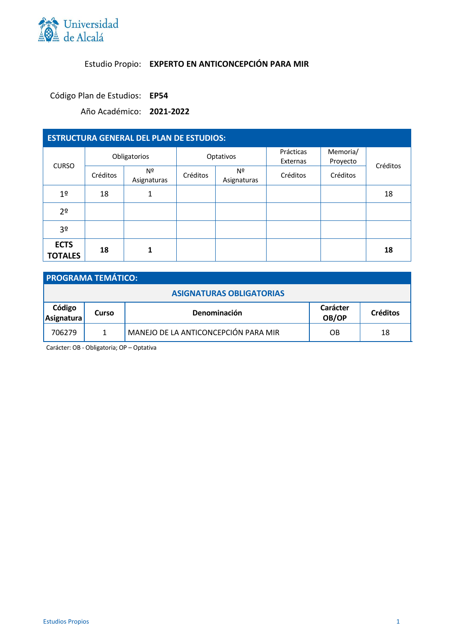

# Estudio Propio: **EXPERTO EN ANTICONCEPCIÓN PARA MIR**

Código Plan de Estudios: **EP54**

Año Académico: **2021-2022**

| <b>ESTRUCTURA GENERAL DEL PLAN DE ESTUDIOS:</b> |              |                   |           |                   |                       |                      |          |
|-------------------------------------------------|--------------|-------------------|-----------|-------------------|-----------------------|----------------------|----------|
|                                                 | Obligatorios |                   | Optativos |                   | Prácticas<br>Externas | Memoria/<br>Proyecto | Créditos |
| <b>CURSO</b>                                    | Créditos     | Nº<br>Asignaturas | Créditos  | Nº<br>Asignaturas | Créditos              | Créditos             |          |
| 1 <sup>°</sup>                                  | 18           | 1                 |           |                   |                       |                      | 18       |
| 2 <sup>o</sup>                                  |              |                   |           |                   |                       |                      |          |
| 3 <sup>o</sup>                                  |              |                   |           |                   |                       |                      |          |
| <b>ECTS</b><br><b>TOTALES</b>                   | 18           | 1                 |           |                   |                       |                      | 18       |

| <b>PROGRAMA TEMÁTICO:</b>       |       |                                      |                   |                 |  |
|---------------------------------|-------|--------------------------------------|-------------------|-----------------|--|
| <b>ASIGNATURAS OBLIGATORIAS</b> |       |                                      |                   |                 |  |
| Código<br>Asignatura            | Curso | <b>Denominación</b>                  | Carácter<br>OB/OP | <b>Créditos</b> |  |
| 706279                          | 1     | MANEJO DE LA ANTICONCEPCIÓN PARA MIR | OB                | 18              |  |

Carácter: OB - Obligatoria; OP – Optativa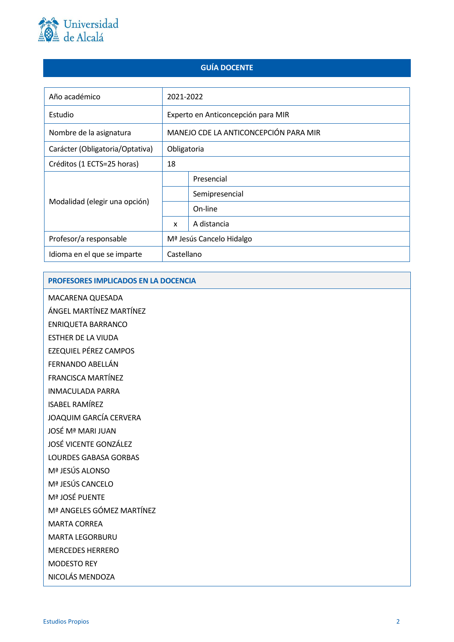

## **GUÍA DOCENTE**

| Año académico                   | 2021-2022                             |  |  |  |
|---------------------------------|---------------------------------------|--|--|--|
| Estudio                         | Experto en Anticoncepción para MIR    |  |  |  |
| Nombre de la asignatura         | MANEJO CDE LA ANTICONCEPCIÓN PARA MIR |  |  |  |
| Carácter (Obligatoria/Optativa) | Obligatoria                           |  |  |  |
| Créditos (1 ECTS=25 horas)      | 18                                    |  |  |  |
|                                 | Presencial                            |  |  |  |
|                                 | Semipresencial                        |  |  |  |
| Modalidad (elegir una opción)   | On-line                               |  |  |  |
|                                 | A distancia<br>x                      |  |  |  |
| Profesor/a responsable          | Mª Jesús Cancelo Hidalgo              |  |  |  |
| Idioma en el que se imparte     | Castellano                            |  |  |  |

### **PROFESORES IMPLICADOS EN LA DOCENCIA**

MACARENA QUESADA

ÁNGEL MARTÍNEZ MARTÍNEZ

ENRIQUETA BARRANCO

ESTHER DE LA VIUDA

EZEQUIEL PÉREZ CAMPOS

- FERNANDO ABELLÁN
- FRANCISCA MARTÍNEZ
- INMACULADA PARRA
- ISABEL RAMÍREZ

JOAQUIM GARCÍA CERVERA

JOSÉ Mª MARI JUAN

JOSÉ VICENTE GONZÁLEZ

LOURDES GABASA GORBAS

- Mª JESÚS ALONSO
- Mª JESÚS CANCELO
- Mª JOSÉ PUENTE

Mª ANGELES GÓMEZ MARTÍNEZ

MARTA CORREA

MARTA LEGORBURU

MERCEDES HERRERO

MODESTO REY

NICOLÁS MENDOZA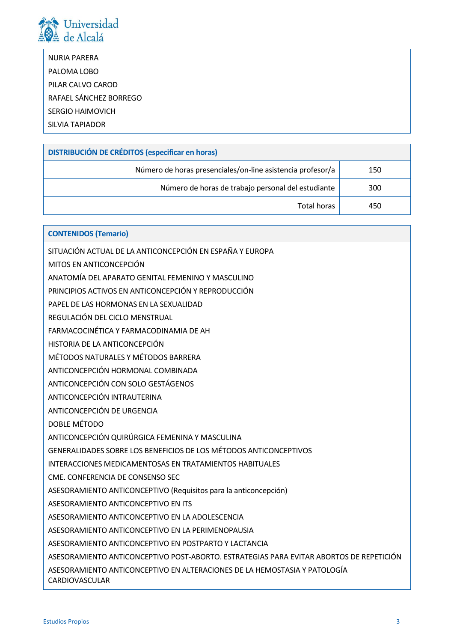

| NURIA PARERA            |
|-------------------------|
| PALOMA LOBO             |
| PILAR CALVO CAROD       |
| RAFAEL SÁNCHEZ BORREGO  |
| <b>SERGIO HAIMOVICH</b> |
| SILVIA TAPIADOR         |
|                         |

| <b>DISTRIBUCIÓN DE CRÉDITOS (especificar en horas)</b>     |     |  |  |
|------------------------------------------------------------|-----|--|--|
| Número de horas presenciales/on-line asistencia profesor/a | 150 |  |  |
| Número de horas de trabajo personal del estudiante         | 300 |  |  |
| Total horas                                                | 450 |  |  |

| <b>CONTENIDOS (Temario)</b>                                                                        |
|----------------------------------------------------------------------------------------------------|
| SITUACIÓN ACTUAL DE LA ANTICONCEPCIÓN EN ESPAÑA Y EUROPA                                           |
| MITOS EN ANTICONCEPCIÓN                                                                            |
| ANATOMÍA DEL APARATO GENITAL FEMENINO Y MASCULINO                                                  |
| PRINCIPIOS ACTIVOS EN ANTICONCEPCIÓN Y REPRODUCCIÓN                                                |
| PAPEL DE LAS HORMONAS EN LA SEXUALIDAD                                                             |
| REGULACIÓN DEL CICLO MENSTRUAL                                                                     |
| FARMACOCINÉTICA Y FARMACODINAMIA DE AH                                                             |
| HISTORIA DE LA ANTICONCEPCIÓN                                                                      |
| MÉTODOS NATURALES Y MÉTODOS BARRERA                                                                |
| ANTICONCEPCIÓN HORMONAL COMBINADA                                                                  |
| ANTICONCEPCIÓN CON SOLO GESTÁGENOS                                                                 |
| ANTICONCEPCIÓN INTRAUTERINA                                                                        |
| ANTICONCEPCIÓN DE URGENCIA                                                                         |
| <b>DOBLE MÉTODO</b>                                                                                |
| ANTICONCEPCIÓN QUIRÚRGICA FEMENINA Y MASCULINA                                                     |
| GENERALIDADES SOBRE LOS BENEFICIOS DE LOS MÉTODOS ANTICONCEPTIVOS                                  |
| <b>INTERACCIONES MEDICAMENTOSAS EN TRATAMIENTOS HABITUALES</b>                                     |
| CME. CONFERENCIA DE CONSENSO SEC                                                                   |
| ASESORAMIENTO ANTICONCEPTIVO (Requisitos para la anticoncepción)                                   |
| ASESORAMIENTO ANTICONCEPTIVO EN ITS                                                                |
| ASESORAMIENTO ANTICONCEPTIVO EN LA ADOLESCENCIA                                                    |
| ASESORAMIENTO ANTICONCEPTIVO EN LA PERIMENOPAUSIA                                                  |
| ASESORAMIENTO ANTICONCEPTIVO EN POSTPARTO Y LACTANCIA                                              |
| ASESORAMIENTO ANTICONCEPTIVO POST-ABORTO. ESTRATEGIAS PARA EVITAR ABORTOS DE REPETICIÓN            |
| ASESORAMIENTO ANTICONCEPTIVO EN ALTERACIONES DE LA HEMOSTASIA Y PATOLOGÍA<br><b>CARDIOVASCULAR</b> |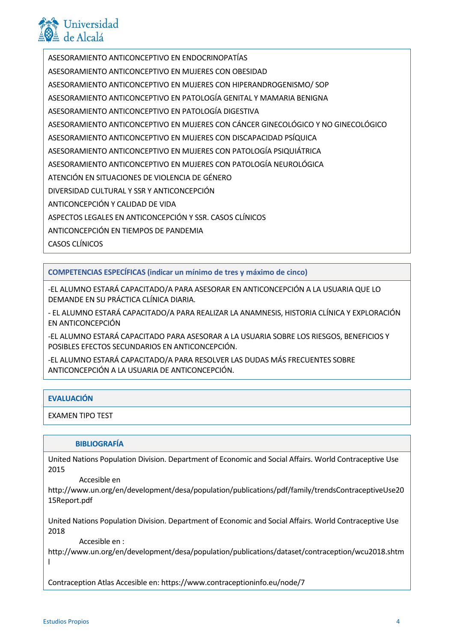

ASESORAMIENTO ANTICONCEPTIVO EN ENDOCRINOPATÍAS ASESORAMIENTO ANTICONCEPTIVO EN MUJERES CON OBESIDAD ASESORAMIENTO ANTICONCEPTIVO EN MUJERES CON HIPERANDROGENISMO/ SOP ASESORAMIENTO ANTICONCEPTIVO EN PATOLOGÍA GENITAL Y MAMARIA BENIGNA ASESORAMIENTO ANTICONCEPTIVO EN PATOLOGÍA DIGESTIVA ASESORAMIENTO ANTICONCEPTIVO EN MUJERES CON CÁNCER GINECOLÓGICO Y NO GINECOLÓGICO ASESORAMIENTO ANTICONCEPTIVO EN MUJERES CON DISCAPACIDAD PSÍQUICA ASESORAMIENTO ANTICONCEPTIVO EN MUJERES CON PATOLOGÍA PSIQUIÁTRICA ASESORAMIENTO ANTICONCEPTIVO EN MUJERES CON PATOLOGÍA NEUROLÓGICA ATENCIÓN EN SITUACIONES DE VIOLENCIA DE GÉNERO DIVERSIDAD CULTURAL Y SSR Y ANTICONCEPCIÓN ANTICONCEPCIÓN Y CALIDAD DE VIDA ASPECTOS LEGALES EN ANTICONCEPCIÓN Y SSR. CASOS CLÍNICOS ANTICONCEPCIÓN EN TIEMPOS DE PANDEMIA CASOS CLÍNICOS

**COMPETENCIAS ESPECÍFICAS (indicar un mínimo de tres y máximo de cinco)**

-EL ALUMNO ESTARÁ CAPACITADO/A PARA ASESORAR EN ANTICONCEPCIÓN A LA USUARIA QUE LO DEMANDE EN SU PRÁCTICA CLÍNICA DIARIA.

- EL ALUMNO ESTARÁ CAPACITADO/A PARA REALIZAR LA ANAMNESIS, HISTORIA CLÍNICA Y EXPLORACIÓN EN ANTICONCEPCIÓN

-EL ALUMNO ESTARÁ CAPACITADO PARA ASESORAR A LA USUARIA SOBRE LOS RIESGOS, BENEFICIOS Y POSIBLES EFECTOS SECUNDARIOS EN ANTICONCEPCIÓN.

-EL ALUMNO ESTARÁ CAPACITADO/A PARA RESOLVER LAS DUDAS MÁS FRECUENTES SOBRE ANTICONCEPCIÓN A LA USUARIA DE ANTICONCEPCIÓN.

### **EVALUACIÓN**

EXAMEN TIPO TEST

#### **BIBLIOGRAFÍA**

United Nations Population Division. Department of Economic and Social Affairs. World Contraceptive Use 2015

Accesible en

http://www.un.org/en/development/desa/population/publications/pdf/family/trendsContraceptiveUse20 15Report.pdf

United Nations Population Division. Department of Economic and Social Affairs. World Contraceptive Use 2018

Accesible en :

http://www.un.org/en/development/desa/population/publications/dataset/contraception/wcu2018.shtm l

Contraception Atlas Accesible en: https://www.contraceptioninfo.eu/node/7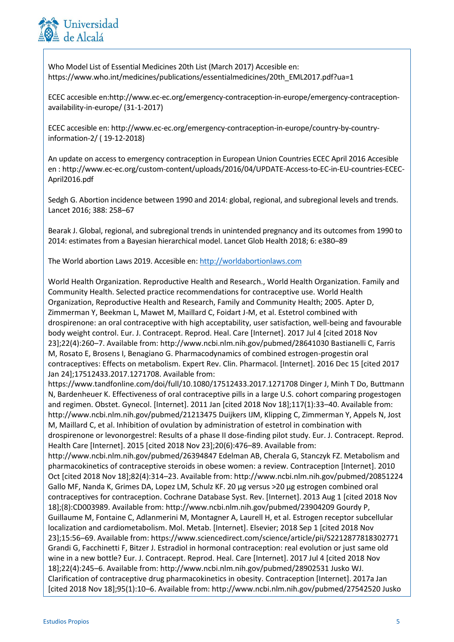

Who Model List of Essential Medicines 20th List (March 2017) Accesible en: https://www.who.int/medicines/publications/essentialmedicines/20th\_EML2017.pdf?ua=1

ECEC accesible en:http://www.ec-ec.org/emergency-contraception-in-europe/emergency-contraceptionavailability-in-europe/ (31-1-2017)

ECEC accesible en: http://www.ec-ec.org/emergency-contraception-in-europe/country-by-countryinformation-2/ ( 19-12-2018)

An update on access to emergency contraception in European Union Countries ECEC April 2016 Accesible en : http://www.ec-ec.org/custom-content/uploads/2016/04/UPDATE-Access-to-EC-in-EU-countries-ECEC-April2016.pdf

Sedgh G. Abortion incidence between 1990 and 2014: global, regional, and subregional levels and trends. Lancet 2016; 388: 258–67

Bearak J. Global, regional, and subregional trends in unintended pregnancy and its outcomes from 1990 to 2014: estimates from a Bayesian hierarchical model. Lancet Glob Health 2018; 6: e380–89

The World abortion Laws 2019. Accesible en: [http://worldabortionlaws.com](http://worldabortionlaws.com/)

World Health Organization. Reproductive Health and Research., World Health Organization. Family and Community Health. Selected practice recommendations for contraceptive use. World Health Organization, Reproductive Health and Research, Family and Community Health; 2005. Apter D, Zimmerman Y, Beekman L, Mawet M, Maillard C, Foidart J-M, et al. Estetrol combined with drospirenone: an oral contraceptive with high acceptability, user satisfaction, well-being and favourable body weight control. Eur. J. Contracept. Reprod. Heal. Care [Internet]. 2017 Jul 4 [cited 2018 Nov 23];22(4):260–7. Available from: http://www.ncbi.nlm.nih.gov/pubmed/28641030 Bastianelli C, Farris M, Rosato E, Brosens I, Benagiano G. Pharmacodynamics of combined estrogen-progestin oral contraceptives: Effects on metabolism. Expert Rev. Clin. Pharmacol. [Internet]. 2016 Dec 15 [cited 2017 Jan 24];17512433.2017.1271708. Available from:

https://www.tandfonline.com/doi/full/10.1080/17512433.2017.1271708 Dinger J, Minh T Do, Buttmann N, Bardenheuer K. Effectiveness of oral contraceptive pills in a large U.S. cohort comparing progestogen and regimen. Obstet. Gynecol. [Internet]. 2011 Jan [cited 2018 Nov 18];117(1):33–40. Available from: http://www.ncbi.nlm.nih.gov/pubmed/21213475 Duijkers IJM, Klipping C, Zimmerman Y, Appels N, Jost M, Maillard C, et al. Inhibition of ovulation by administration of estetrol in combination with drospirenone or levonorgestrel: Results of a phase II dose-finding pilot study. Eur. J. Contracept. Reprod.

Health Care [Internet]. 2015 [cited 2018 Nov 23];20(6):476–89. Available from: http://www.ncbi.nlm.nih.gov/pubmed/26394847 Edelman AB, Cherala G, Stanczyk FZ. Metabolism and pharmacokinetics of contraceptive steroids in obese women: a review. Contraception [Internet]. 2010 Oct [cited 2018 Nov 18];82(4):314–23. Available from: http://www.ncbi.nlm.nih.gov/pubmed/20851224 Gallo MF, Nanda K, Grimes DA, Lopez LM, Schulz KF. 20 µg versus >20 µg estrogen combined oral contraceptives for contraception. Cochrane Database Syst. Rev. [Internet]. 2013 Aug 1 [cited 2018 Nov 18];(8):CD003989. Available from: http://www.ncbi.nlm.nih.gov/pubmed/23904209 Gourdy P, Guillaume M, Fontaine C, Adlanmerini M, Montagner A, Laurell H, et al. Estrogen receptor subcellular localization and cardiometabolism. Mol. Metab. [Internet]. Elsevier; 2018 Sep 1 [cited 2018 Nov 23];15:56–69. Available from: https://www.sciencedirect.com/science/article/pii/S2212877818302771 Grandi G, Facchinetti F, Bitzer J. Estradiol in hormonal contraception: real evolution or just same old wine in a new bottle? Eur. J. Contracept. Reprod. Heal. Care [Internet]. 2017 Jul 4 [cited 2018 Nov 18];22(4):245–6. Available from: http://www.ncbi.nlm.nih.gov/pubmed/28902531 Jusko WJ. Clarification of contraceptive drug pharmacokinetics in obesity. Contraception [Internet]. 2017a Jan [cited 2018 Nov 18];95(1):10–6. Available from: http://www.ncbi.nlm.nih.gov/pubmed/27542520 Jusko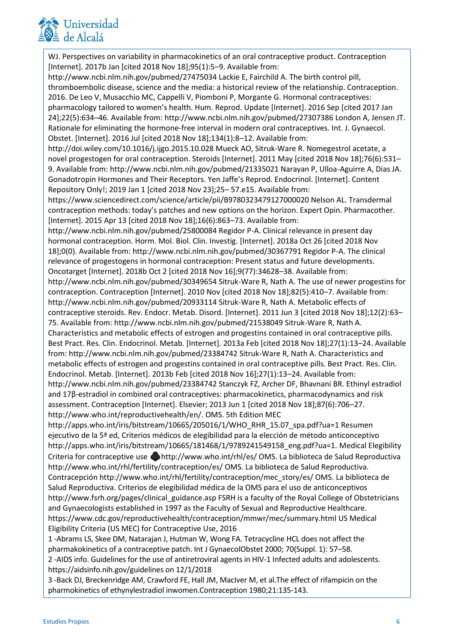

WJ. Perspectives on variability in pharmacokinetics of an oral contraceptive product. Contraception [Internet]. 2017b Jan [cited 2018 Nov 18];95(1):5–9. Available from:

http://www.ncbi.nlm.nih.gov/pubmed/27475034 Lackie E, Fairchild A. The birth control pill, thromboembolic disease, science and the media: a historical review of the relationship. Contraception. 2016. De Leo V, Musacchio MC, Cappelli V, Piomboni P, Morgante G. Hormonal contraceptives: pharmacology tailored to women's health. Hum. Reprod. Update [Internet]. 2016 Sep [cited 2017 Jan 24];22(5):634–46. Available from: http://www.ncbi.nlm.nih.gov/pubmed/27307386 London A, Jensen JT. Rationale for eliminating the hormone-free interval in modern oral contraceptives. Int. J. Gynaecol. Obstet. [Internet]. 2016 Jul [cited 2018 Nov 18];134(1):8–12. Available from:

http://doi.wiley.com/10.1016/j.ijgo.2015.10.028 Mueck AO, Sitruk-Ware R. Nomegestrol acetate, a novel progestogen for oral contraception. Steroids [Internet]. 2011 May [cited 2018 Nov 18];76(6):531– 9. Available from: http://www.ncbi.nlm.nih.gov/pubmed/21335021 Narayan P, Ulloa-Aguirre A, Dias JA. Gonadotropin Hormones and Their Receptors. Yen Jaffe's Reprod. Endocrinol. [Internet]. Content Repository Only!; 2019 Jan 1 [cited 2018 Nov 23];25– 57.e15. Available from:

https://www.sciencedirect.com/science/article/pii/B9780323479127000020 Nelson AL. Transdermal contraception methods: today's patches and new options on the horizon. Expert Opin. Pharmacother. [Internet]. 2015 Apr 13 [cited 2018 Nov 18];16(6):863–73. Available from:

http://www.ncbi.nlm.nih.gov/pubmed/25800084 Regidor P-A. Clinical relevance in present day hormonal contraception. Horm. Mol. Biol. Clin. Investig. [Internet]. 2018a Oct 26 [cited 2018 Nov 18];0(0). Available from: http://www.ncbi.nlm.nih.gov/pubmed/30367791 Regidor P-A. The clinical relevance of progestogens in hormonal contraception: Present status and future developments.

Oncotarget [Internet]. 2018b Oct 2 [cited 2018 Nov 16];9(77):34628–38. Available from: http://www.ncbi.nlm.nih.gov/pubmed/30349654 Sitruk-Ware R, Nath A. The use of newer progestins for contraception. Contraception [Internet]. 2010 Nov [cited 2018 Nov 18];82(5):410–7. Available from: http://www.ncbi.nlm.nih.gov/pubmed/20933114 Sitruk-Ware R, Nath A. Metabolic effects of contraceptive steroids. Rev. Endocr. Metab. Disord. [Internet]. 2011 Jun 3 [cited 2018 Nov 18];12(2):63–

75. Available from: http://www.ncbi.nlm.nih.gov/pubmed/21538049 Sitruk-Ware R, Nath A. Characteristics and metabolic effects of estrogen and progestins contained in oral contraceptive pills. Best Pract. Res. Clin. Endocrinol. Metab. [Internet]. 2013a Feb [cited 2018 Nov 18];27(1):13–24. Available from: http://www.ncbi.nlm.nih.gov/pubmed/23384742 Sitruk-Ware R, Nath A. Characteristics and metabolic effects of estrogen and progestins contained in oral contraceptive pills. Best Pract. Res. Clin. Endocrinol. Metab. [Internet]. 2013b Feb [cited 2018 Nov 16];27(1):13–24. Available from:

http://www.ncbi.nlm.nih.gov/pubmed/23384742 Stanczyk FZ, Archer DF, Bhavnani BR. Ethinyl estradiol and 17β-estradiol in combined oral contraceptives: pharmacokinetics, pharmacodynamics and risk assessment. Contraception [Internet]. Elsevier; 2013 Jun 1 [cited 2018 Nov 18];87(6):706–27. http://www.who.int/reproductivehealth/en/. OMS. 5th Edition MEC

http://apps.who.int/iris/bitstream/10665/205016/1/WHO\_RHR\_15.07\_spa.pdf?ua=1 Resumen ejecutivo de la 5ª ed, Criterios médicos de elegibilidad para la elección de método anticonceptivo http://apps.who.int/iris/bitstream/10665/181468/1/9789241549158\_eng.pdf?ua=1. Medical Elegibility Criteria for contraceptive use http://www.who.int/rhl/es/ OMS. La biblioteca de Salud Reproductiva http://www.who.int/rhl/fertility/contraception/es/ OMS. La biblioteca de Salud Reproductiva. Contracepción http://www.who.int/rhl/fertility/contraception/mec\_story/es/ OMS. La biblioteca de Salud Reproductiva. Criterios de elegibilidad médica de la OMS para el uso de anticonceptivos http://www.fsrh.org/pages/clinical\_guidance.asp FSRH is a faculty of the Royal College of Obstetricians and Gynaecologists established in 1997 as the Faculty of Sexual and Reproductive Healthcare. https://www.cdc.gov/reproductivehealth/contraception/mmwr/mec/summary.html US Medical Eligibility Criteria (US MEC) for Contraceptive Use, 2016

1 -Abrams LS, Skee DM, Natarajan J, Hutman W, Wong FA. Tetracycline HCL does not affect the pharmakokinetics of a contraceptive patch. Int J GynaecolObstet 2000; 70(Suppl. 1): 57–58. 2 -AIDS info. Guidelines for the use of antiretroviral agents in HIV-1 Infected adults and adolescents. https://aidsinfo.nih.gov/guidelines on 12/1/2018

3 -Back DJ, Breckenridge AM, Crawford FE, Hall JM, MacIver M, et al.The effect of rifampicin on the pharmokinetics of ethynylestradiol inwomen.Contraception 1980;21:135-143.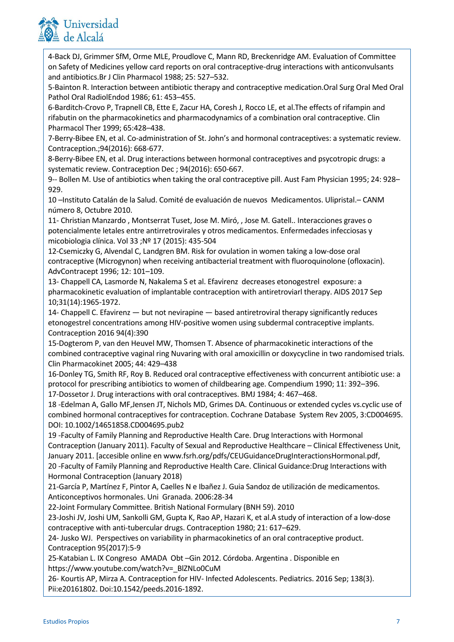

4-Back DJ, Grimmer SfM, Orme MLE, Proudlove C, Mann RD, Breckenridge AM. Evaluation of Committee on Safety of Medicines yellow card reports on oral contraceptive-drug interactions with anticonvulsants and antibiotics.Br J Clin Pharmacol 1988; 25: 527–532.

5-Bainton R. Interaction between antibiotic therapy and contraceptive medication.Oral Surg Oral Med Oral Pathol Oral RadiolEndod 1986; 61: 453–455.

6-Barditch-Crovo P, Trapnell CB, Ette E, Zacur HA, Coresh J, Rocco LE, et al.The effects of rifampin and rifabutin on the pharmacokinetics and pharmacodynamics of a combination oral contraceptive. Clin Pharmacol Ther 1999; 65:428–438.

7-Berry-Bibee EN, et al. Co-administration of St. John's and hormonal contraceptives: a systematic review. Contraception.;94(2016): 668-677.

8-Berry-Bibee EN, et al. Drug interactions between hormonal contraceptives and psycotropic drugs: a systematic review. Contraception Dec ; 94(2016): 650-667.

9-- Bollen M. Use of antibiotics when taking the oral contraceptive pill. Aust Fam Physician 1995; 24: 928– 929.

10 –Instituto Catalán de la Salud. Comité de evaluación de nuevos Medicamentos. Ulipristal.– CANM número 8, Octubre 2010.

11- Christian Manzardo , Montserrat Tuset, Jose M. Miró, , Jose M. Gatell.. Interacciones graves o potencialmente letales entre antirretrovirales y otros medicamentos. Enfermedades infecciosas y micobiologia clínica. Vol 33 ;Nº 17 (2015): 435-504

12-Csemiczky G, Alvendal C, Landgren BM. Risk for ovulation in women taking a low-dose oral contraceptive (Microgynon) when receiving antibacterial treatment with fluoroquinolone (ofloxacin). AdvContracept 1996; 12: 101–109.

13- Chappell CA, Lasmorde N, Nakalema S et al. Efavirenz decreases etonogestrel exposure: a pharmacokinetic evaluation of implantable contraception with antiretroviarl therapy. AIDS 2017 Sep 10;31(14):1965-1972.

14- Chappell C. Efavirenz — but not nevirapine — based antiretroviral therapy significantly reduces etonogestrel concentrations among HIV-positive women using subdermal contraceptive implants. Contraception 2016 94(4):390

15-Dogterom P, van den Heuvel MW, Thomsen T. Absence of pharmacokinetic interactions of the combined contraceptive vaginal ring Nuvaring with oral amoxicillin or doxycycline in two randomised trials. Clin Pharmacokinet 2005; 44: 429–438

16-Donley TG, Smith RF, Roy B. Reduced oral contraceptive effectiveness with concurrent antibiotic use: a protocol for prescribing antibiotics to women of childbearing age. Compendium 1990; 11: 392–396. 17-Dossetor J. Drug interactions with oral contraceptives. BMJ 1984; 4: 467–468.

18 -Edelman A, Gallo MF,Jensen JT, Nichols MD, Grimes DA. Continuous or extended cycles vs.cyclic use of combined hormonal contraceptives for contraception. Cochrane Database System Rev 2005, 3:CD004695. DOI: 10.1002/14651858.CD004695.pub2

19 -Faculty of Family Planning and Reproductive Health Care. Drug Interactions with Hormonal Contraception (January 2011). Faculty of Sexual and Reproductive Healthcare – Clinical Effectiveness Unit, January 2011. [accesible online en www.fsrh.org/pdfs/CEUGuidanceDrugInteractionsHormonal.pdf, 20 -Faculty of Family Planning and Reproductive Health Care. Clinical Guidance:Drug Interactions with Hormonal Contraception (January 2018)

21-García P, Martínez F, Pintor A, Caelles N e Ibañez J. Guia Sandoz de utilización de medicamentos. Anticonceptivos hormonales. Uni Granada. 2006:28-34

22-Joint Formulary Committee. British National Formulary (BNH 59). 2010

23-Joshi JV, Joshi UM, Sankolli GM, Gupta K, Rao AP, Hazari K, et al.A study of interaction of a low-dose contraceptive with anti-tubercular drugs. Contraception 1980; 21: 617–629.

24- Jusko WJ. Perspectives on variability in pharmacokinetics of an oral contraceptive product. Contraception 95(2017):5-9

25-Katabian L. IX Congreso AMADA Obt –Gin 2012. Córdoba. Argentina . Disponible en https://www.youtube.com/watch?v=\_BlZNLo0CuM

26- Kourtis AP, Mirza A. Contraception for HIV- Infected Adolescents. Pediatrics. 2016 Sep; 138(3). Pii:e20161802. Doi:10.1542/peeds.2016-1892.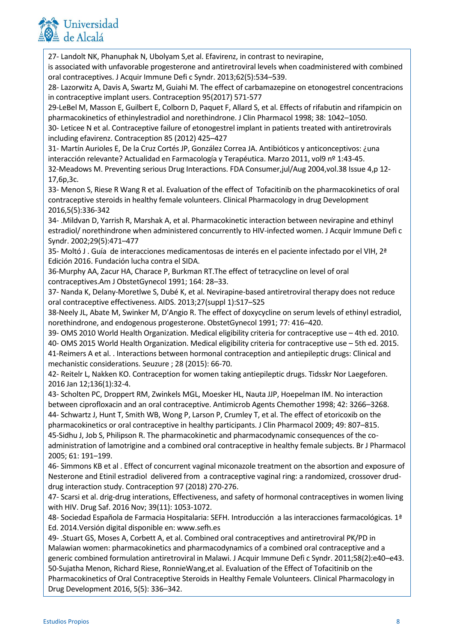

27- Landolt NK, Phanuphak N, Ubolyam S,et al. Efavirenz, in contrast to nevirapine,

is associated with unfavorable progesterone and antiretroviral levels when coadministered with combined oral contraceptives. J Acquir Immune Defi c Syndr. 2013;62(5):534–539.

28- Lazorwitz A, Davis A, Swartz M, Guiahi M. The effect of carbamazepine on etonogestrel concentracions in contraceptive implant users. Contraception 95(2017) 571-577

29-LeBel M, Masson E, Guilbert E, Colborn D, Paquet F, Allard S, et al. Effects of rifabutin and rifampicin on pharmacokinetics of ethinylestradiol and norethindrone. J Clin Pharmacol 1998; 38: 1042–1050.

30- Leticee N et al. Contraceptive failure of etonogestrel implant in patients treated with antiretrovirals including efavirenz. Contraception 85 (2012) 425–427

31- Martín Aurioles E, De la Cruz Cortés JP, González Correa JA. Antibióticos y anticonceptivos: ¿una interacción relevante? Actualidad en Farmacología y Terapéutica. Marzo 2011, vol9 nº 1:43-45. 32-Meadows M. Preventing serious Drug Interactions. FDA Consumer,jul/Aug 2004,vol.38 Issue 4,p 12- 17,6p,3c.

33- Menon S, Riese R Wang R et al. Evaluation of the effect of Tofacitinib on the pharmacokinetics of oral contraceptive steroids in healthy female volunteers. Clinical Pharmacology in drug Development 2016,5(5):336-342

34- .Mildvan D, Yarrish R, Marshak A, et al. Pharmacokinetic interaction between nevirapine and ethinyl estradiol/ norethindrone when administered concurrently to HIV-infected women. J Acquir Immune Defi c Syndr. 2002;29(5):471–477

35- Moltó J . Guía de interacciones medicamentosas de interés en el paciente infectado por el VIH, 2<sup>ª</sup> Edición 2016. Fundación lucha contra el SIDA.

36-Murphy AA, Zacur HA, Charace P, Burkman RT.The effect of tetracycline on level of oral contraceptives.Am J ObstetGynecol 1991; 164: 28–33.

37- Nanda K, Delany-Moretlwe S, Dubé K, et al. Nevirapine-based antiretroviral therapy does not reduce oral contraceptive effectiveness. AIDS. 2013;27(suppl 1):S17–S25

38-Neely JL, Abate M, Swinker M, D'Angio R. The effect of doxycycline on serum levels of ethinyl estradiol, norethindrone, and endogenous progesterone. ObstetGynecol 1991; 77: 416–420.

39- OMS 2010 World Health Organization. Medical eligibility criteria for contraceptive use – 4th ed. 2010. 40- OMS 2015 World Health Organization. Medical eligibility criteria for contraceptive use – 5th ed. 2015. 41-Reimers A et al. . Interactions between hormonal contraception and antiepileptic drugs: Clinical and

mechanistic considerations. Seuzure ; 28 (2015): 66-70. 42- Reitelr L, Nakken KO. Contraception for women taking antiepileptic drugs. Tidsskr Nor Laegeforen. 2016 Jan 12;136(1):32-4.

43- Scholten PC, Droppert RM, Zwinkels MGL, Moesker HL, Nauta JJP, Hoepelman IM. No interaction between ciprofloxacin and an oral contraceptive. Antimicrob Agents Chemother 1998; 42: 3266–3268. 44- Schwartz J, Hunt T, Smith WB, Wong P, Larson P, Crumley T, et al. The effect of etoricoxib on the pharmacokinetics or oral contraceptive in healthy participants. J Clin Pharmacol 2009; 49: 807–815. 45-Sidhu J, Job S, Philipson R. The pharmacokinetic and pharmacodynamic consequences of the coadministration of lamotrigine and a combined oral contraceptive in healthy female subjects. Br J Pharmacol

2005; 61: 191–199. 46- Simmons KB et al . Effect of concurrent vaginal miconazole treatment on the absortion and exposure of Nesterone and Etinil estradiol delivered from a contraceptive vaginal ring: a randomized, crossover druddrug interaction study. Contraception 97 (2018) 270-276.

47- Scarsi et al. drig-drug interations, Effectiveness, and safety of hormonal contraceptives in women living with HIV. Drug Saf. 2016 Nov; 39(11): 1053-1072.

48- Sociedad Española de Farmacia Hospitalaria: SEFH. Introducción a las interacciones farmacológicas. 1ª Ed. 2014.Versión digital disponible en: www.sefh.es

49- .Stuart GS, Moses A, Corbett A, et al. Combined oral contraceptives and antiretroviral PK/PD in Malawian women: pharmacokinetics and pharmacodynamics of a combined oral contraceptive and a generic combined formulation antiretroviral in Malawi. J Acquir Immune Defi c Syndr. 2011;58(2):e40–e43. 50-Sujatha Menon, Richard Riese, RonnieWang,et al. Evaluation of the Effect of Tofacitinib on the Pharmacokinetics of Oral Contraceptive Steroids in Healthy Female Volunteers. Clinical Pharmacology in Drug Development 2016, 5(5): 336–342.